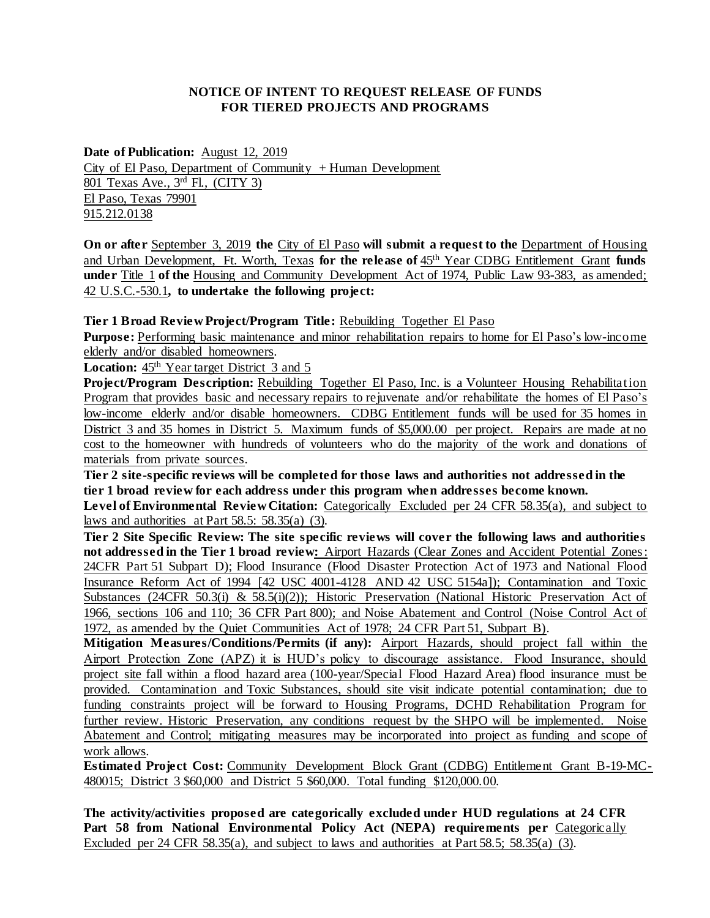## **NOTICE OF INTENT TO REQUEST RELEASE OF FUNDS FOR TIERED PROJECTS AND PROGRAMS**

**Date of Publication:** August 12, 2019 City of El Paso, Department of Community  $+$  Human Development 801 Texas Ave., 3rd Fl., (CITY 3) El Paso, Texas 79901 915.212.0138

**On or after** September 3, 2019 **the** City of El Paso **will submit a request to the** Department of Housing and Urban Development, Ft. Worth, Texas **for the release of** 45th Year CDBG Entitlement Grant **funds under** Title 1 **of the** Housing and Community Development Act of 1974, Public Law 93-383, as amended; 42 U.S.C.-530.1**, to undertake the following project:** 

**Tier 1 Broad Review Project/Program Title:** Rebuilding Together El Paso

**Purpose:** Performing basic maintenance and minor rehabilitation repairs to home for El Paso's low-income elderly and/or disabled homeowners*.* 

Location:  $45<sup>th</sup>$  Year target District 3 and 5

**Project/Program Description:** Rebuilding Together El Paso, Inc. is a Volunteer Housing Rehabilitation Program that provides basic and necessary repairs to rejuvenate and/or rehabilitate the homes of El Paso's low-income elderly and/or disable homeowners. CDBG Entitlement funds will be used for 35 homes in District 3 and 35 homes in District 5. Maximum funds of \$5,000.00 per project. Repairs are made at no cost to the homeowner with hundreds of volunteers who do the majority of the work and donations of materials from private sources.

**Tier 2 site-specific reviews will be completed for those laws and authorities not addressed in the tier 1 broad review for each address under this program when addresses become known.**

**Level of Environmental Review Citation:** Categorically Excluded per 24 CFR 58.35(a), and subject to laws and authorities at Part 58.5: 58.35(a) (3)*.*

**Tier 2 Site Specific Review: The site specific reviews will cover the following laws and authorities not addressed in the Tier 1 broad review:** Airport Hazards (Clear Zones and Accident Potential Zones: 24CFR Part 51 Subpart D); Flood Insurance (Flood Disaster Protection Act of 1973 and National Flood Insurance Reform Act of 1994 [42 USC 4001-4128 AND 42 USC 5154a]); Contamination and Toxic Substances (24CFR 50.3(i) & 58.5(i)(2)); Historic Preservation (National Historic Preservation Act of 1966, sections 106 and 110; 36 CFR Part 800); and Noise Abatement and Control (Noise Control Act of 1972, as amended by the Quiet Communities Act of 1978; 24 CFR Part 51, Subpart B)*.*

**Mitigation Measures/Conditions/Permits (if any):** Airport Hazards, should project fall within the Airport Protection Zone (APZ) it is HUD's policy to discourage assistance. Flood Insurance, should project site fall within a flood hazard area (100-year/Special Flood Hazard Area) flood insurance must be provided. Contamination and Toxic Substances, should site visit indicate potential contamination; due to funding constraints project will be forward to Housing Programs, DCHD Rehabilitation Program for further review. Historic Preservation, any conditions request by the SHPO will be implemented. Noise Abatement and Control; mitigating measures may be incorporated into project as funding and scope of work allows*.*

**Estimated Project Cost:** Community Development Block Grant (CDBG) Entitlement Grant B-19-MC-480015; District 3 \$60,000 and District 5 \$60,000. Total funding \$120,000.00*.*

**The activity/activities proposed are categorically excluded under HUD regulations at 24 CFR Part 58 from National Environmental Policy Act (NEPA) requirements per** Categorically Excluded per 24 CFR 58.35(a), and subject to laws and authorities at Part 58.5; 58.35(a) (3)*.*